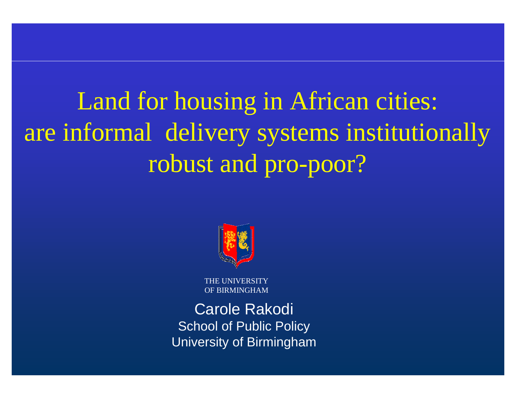Land for housing in African cities: are informal delivery systems institutionally robust and pro-poor?



THE UNIVERSITY OF BIRMINGHAM

Carole Rakodi School of Public Policy University of Birmingham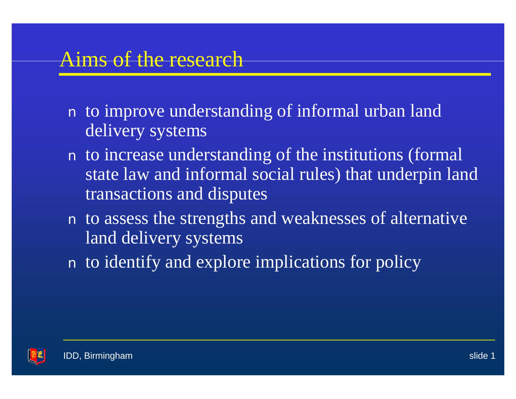### Aims of the research

- n to improve understanding of informal urban land delivery systems
- n to increase understanding of the institutions (formal state law and informal social rules) that underpin land transactions and disputes
- n to assess the strengths and weaknesses of alternative land delivery systems
- n to identify and explore implications for policy

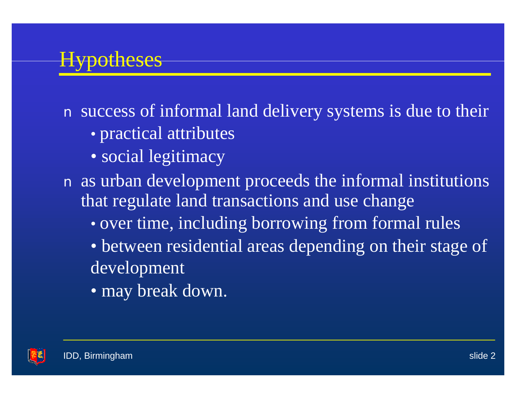# Hypotheses

n success of informal land delivery systems is due to their

- practical attributes
- social legitimacy
- n as urban development proceeds the informal institutions that regulate land transactions and use change
	- over time, including borrowing from formal rules
	- between residential areas depending on their stage of development
	- may break down.

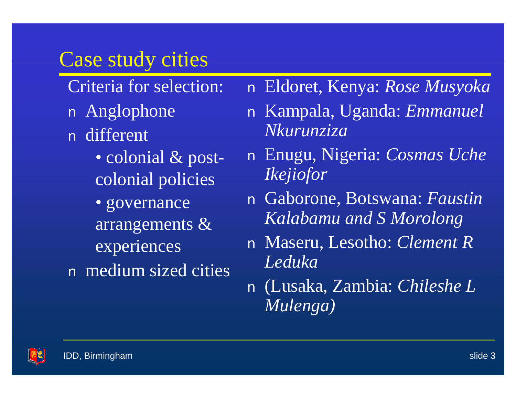### Case study cities

Criteria for selection: n Anglophone n different • colonial & postcolonial policies • governance arrangements & experiences n medium sized cities n Eldoret, Kenya: *Rose Musyoka*

- n Kampala, Uganda: *Emmanuel Nkurunziza*
- n Enugu, Nigeria: *Cosmas Uche Ikejiofor*
- n Gaborone, Botswana: *Faustin Kalabamu and S Morolong*
- n Maseru, Lesotho: *Clement R Leduka*
- n (Lusaka, Zambia: *Chileshe L Mulenga)*

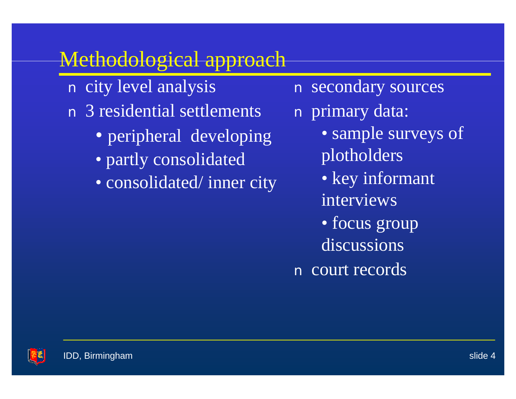## Methodological approach

- n city level analysis n 3 residential settlements
	- peripheral developing
	- partly consolidated
	- consolidated/ inner city

n secondary sources

n primary data:

- sample surveys of plotholders
- key informant interviews
- focus group discussions
- n court records

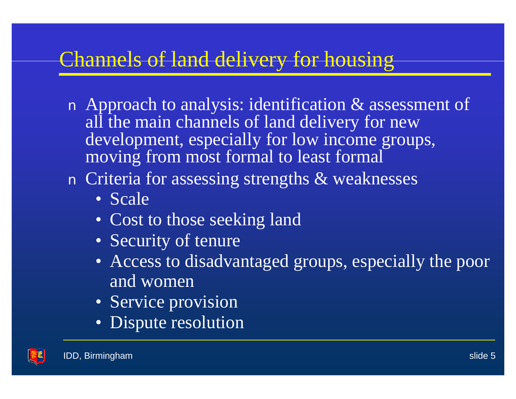# Channels of land delivery for housing

n Approach to analysis: identification & assessment of all the main channels of land delivery for new development, especially for low income groups, moving from most formal to least formal

### n Criteria for assessing strengths & weaknesses

- Scale
- Cost to those seeking land
- Security of tenure
- Access to disadvantaged groups, especially the poor and women
- Service provision
- Dispute resolution

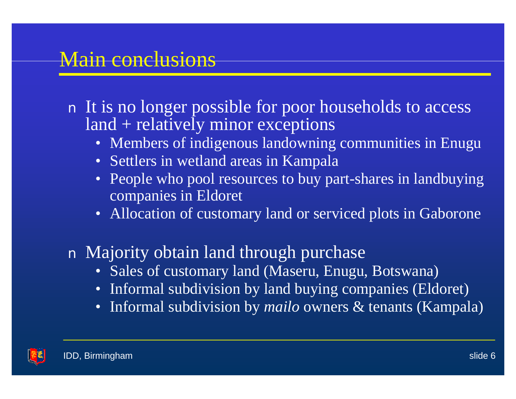### Main conclusions

#### n It is no longer possible for poor households to access land + relatively minor exceptions

- Members of indigenous landowning communities in Enugu
- Settlers in wetland areas in Kampala
- People who pool resources to buy part-shares in landbuying companies in Eldoret
- Allocation of customary land or serviced plots in Gaborone

### n Majority obtain land through purchase

- Sales of customary land (Maseru, Enugu, Botswana)
- Informal subdivision by land buying companies (Eldoret)
- Informal subdivision by *mailo* owners & tenants (Kampala)

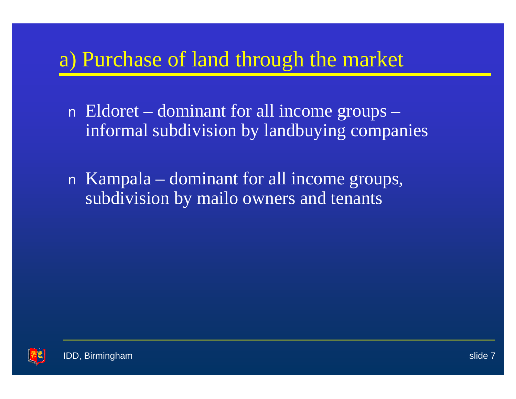## a) Purchase of land through the market

n Eldoret – dominant for all income groups – informal subdivision by landbuying companies

n Kampala – dominant for all income groups, subdivision by mailo owners and tenants

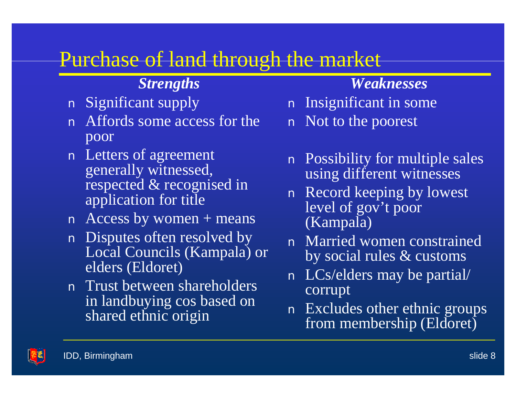## Purchase of land through the market

#### *Strengths*

- n Significant supply
- n Affords some access for the poor
- n Letters of agreement generally witnessed, respected & recognised in application for title
- $n$  Access by women + means
- n Disputes often resolved by Local Councils (Kampala) or elders (Eldoret)
- n Trust between shareholders in landbuying cos based on shared ethnic origin

#### *Weaknesses*

- n Insignificant in some
- n Not to the poorest
- n Possibility for multiple sales using different witnesses
- n Record keeping by lowest level of gov't poor (Kampala)
- n Married women constrained by social rules & customs
- n LCs/elders may be partial/ corrupt
- n Excludes other ethnic groups from membership (Eldoret)

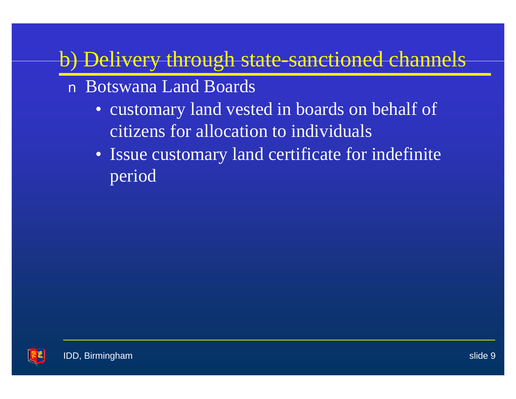# b) Delivery through state-sanctioned channels

- n Botswana Land Boards
	- customary land vested in boards on behalf of citizens for allocation to individuals
	- Issue customary land certificate for indefinite period

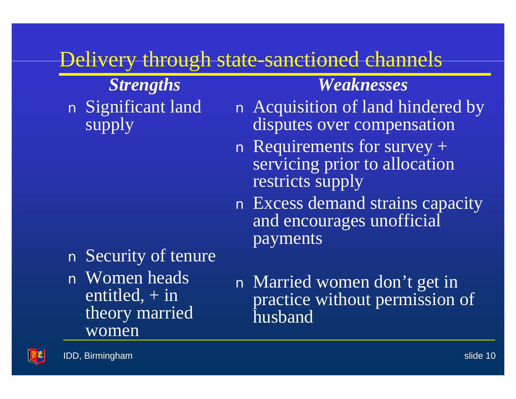## Delivery through state-sanctioned channels

*Strengths* n Significant land supply

n Security of tenure n Women heads entitled,  $+$  in theory married women

### n Married women don't get in practice without permission of husband

*Weaknesses*

n Acquisition of land hindered by

disputes over compensation

servicing prior to allocation

n Excess demand strains capacity

and encourages unofficial

n Requirements for survey +

restricts supply

payments

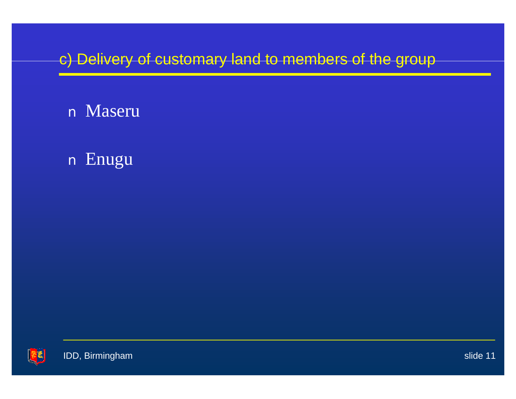### c) Delivery of customary land to members of the group

### n Maseru

### n Enugu

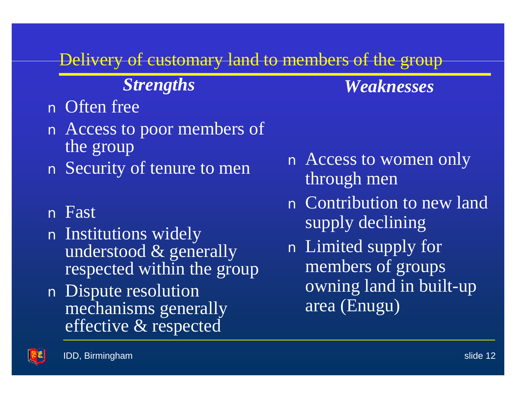### Delivery of customary land to members of the group

### *Strengths*

*Weaknesses*

### n Often free

- n Access to poor members of the group
- n Security of tenure to men

#### n Fast

- n Institutions widely understood & generally respected within the group
- n Dispute resolution mechanisms generally effective & respected
- n Access to women only through men
- n Contribution to new land supply declining
- n Limited supply for members of groups owning land in built-up area (Enugu)

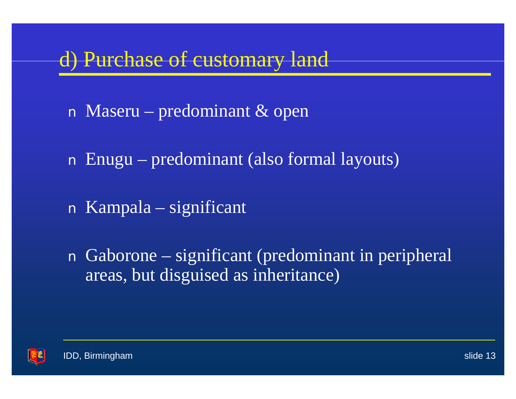## d) Purchase of customary land

- n Maseru predominant & open
- n Enugu predominant (also formal layouts)
- n Kampala significant
- n Gaborone significant (predominant in peripheral areas, but disguised as inheritance)

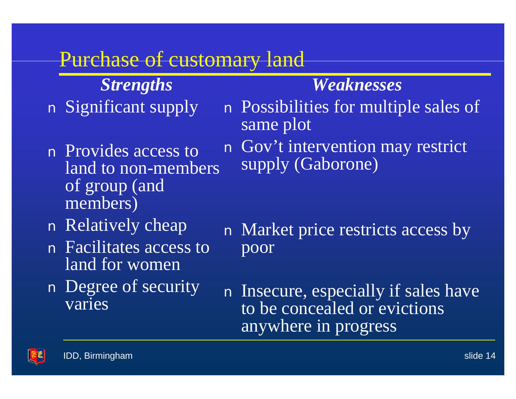### Purchase of customary land

*Strengths* n Significant supply

- n Provides access to land to non-members of group (and members)
- n Relatively cheap
- n Facilitates access to land for women
- n Degree of security varies

n Possibilities for multiple sales of same plot

*Weaknesses*

n Gov't intervention may restrict supply (Gaborone)

- n Market price restricts access by poor
- n Insecure, especially if sales have to be concealed or evictions anywhere in progress

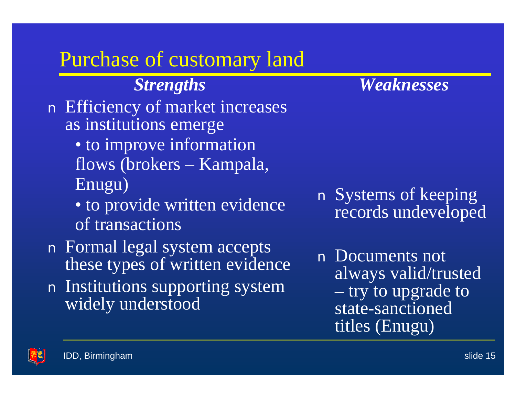## Purchase of customary land

*Strengths* n Efficiency of market increases as institutions emerge • to improve information flows (brokers – Kampala, Enugu) • to provide written evidence of transactions

n Formal legal system accepts these types of written evidence n Institutions supporting system widely understood

*Weaknesses*

n Systems of keeping records undeveloped

n Documents not always valid/trusted – try to upgrade to state-sanctioned titles (Enugu)

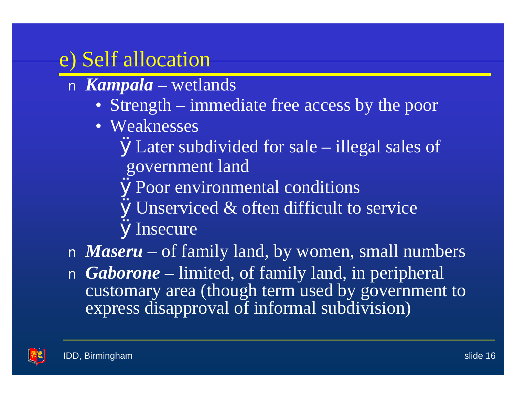# e) Self allocation

- n *Kampala* wetlands
	- Strength immediate free access by the poor
	- Weaknesses

ØLater subdivided for sale – illegal sales of government land

ØPoor environmental conditions

**ØUnserviced & often difficult to service ØInsecure** 

n *Maseru* – of family land, by women, small numbers n *Gaborone* – limited, of family land, in peripheral customary area (though term used by government to express disapproval of informal subdivision)

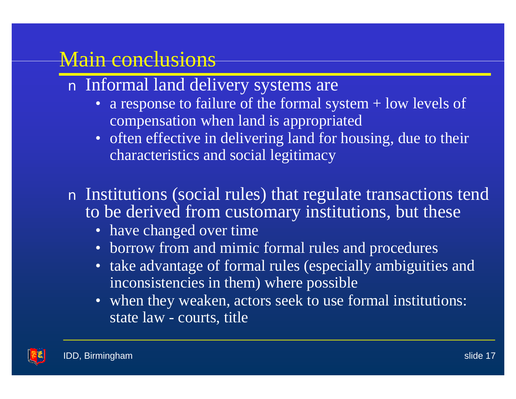### Main conclusions

- n Informal land delivery systems are
	- a response to failure of the formal system  $+$  low levels of compensation when land is appropriated
	- often effective in delivering land for housing, due to their characteristics and social legitimacy

n Institutions (social rules) that regulate transactions tend to be derived from customary institutions, but these

- have changed over time
- borrow from and mimic formal rules and procedures
- take advantage of formal rules (especially ambiguities and inconsistencies in them) where possible
- when they weaken, actors seek to use formal institutions: state law - courts, title

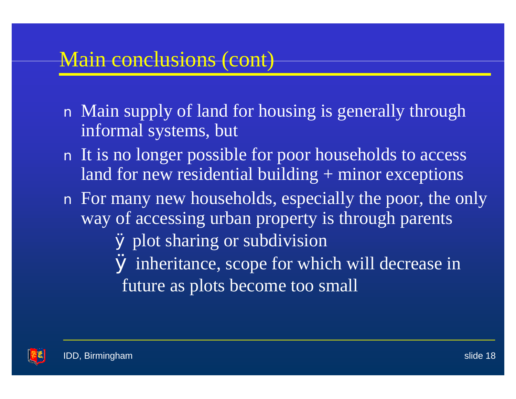### Main conclusions (cont)

- n Main supply of land for housing is generally through informal systems, but
- n It is no longer possible for poor households to access land for new residential building + minor exceptions
- n For many new households, especially the poor, the only way of accessing urban property is through parents Ø plot sharing or subdivision Ø inheritance, scope for which will decrease in future as plots become too small

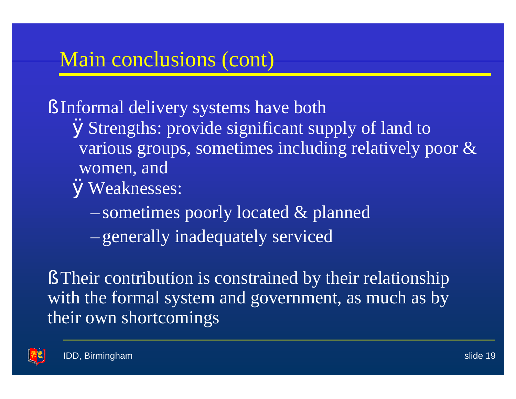### Main conclusions (cont)

§ Informal delivery systems have both ØStrengths: provide significant supply of land to various groups, sometimes including relatively poor & women, and ØWeaknesses:

– sometimes poorly located & planned

– generally inadequately serviced

§ Their contribution is constrained by their relationship with the formal system and government, as much as by their own shortcomings

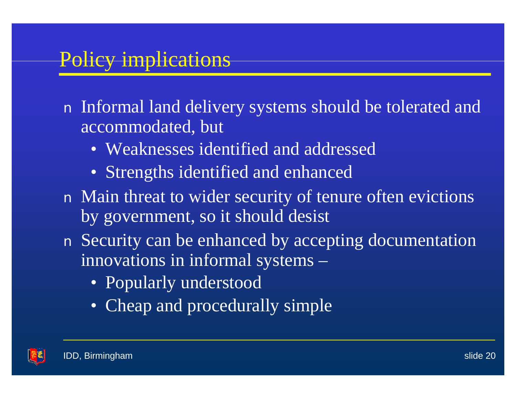# Policy implications

n Informal land delivery systems should be tolerated and accommodated, but

- Weaknesses identified and addressed
- Strengths identified and enhanced
- n Main threat to wider security of tenure often evictions by government, so it should desist
- n Security can be enhanced by accepting documentation innovations in informal systems –
	- Popularly understood
	- Cheap and procedurally simple